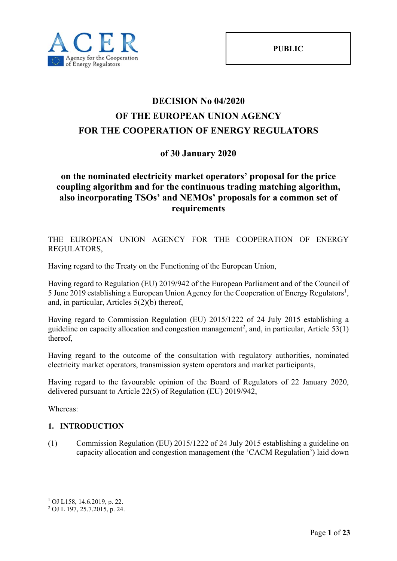# **DECISION No 04/2020 OF THE EUROPEAN UNION AGENCY FOR THE COOPERATION OF ENERGY REGULATORS**

## **of 30 January 2020**

## **on the nominated electricity market operators' proposal for the price coupling algorithm and for the continuous trading matching algorithm, also incorporating TSOs' and NEMOs' proposals for a common set of requirements**

THE EUROPEAN UNION AGENCY FOR THE COOPERATION OF ENERGY REGULATORS,

Having regard to the Treaty on the Functioning of the European Union,

Having regard to Regulation (EU) 2019/942 of the European Parliament and of the Council of 5 June 2019 establishing a European Union Agency for the Cooperation of Energy Regulators<sup>1</sup>, and, in particular, Articles 5(2)(b) thereof,

Having regard to Commission Regulation (EU) 2015/1222 of 24 July 2015 establishing a guideline on capacity allocation and congestion management<sup>2</sup>, and, in particular, Article 53(1) thereof,

Having regard to the outcome of the consultation with regulatory authorities, nominated electricity market operators, transmission system operators and market participants,

Having regard to the favourable opinion of the Board of Regulators of 22 January 2020, delivered pursuant to Article 22(5) of Regulation (EU) 2019/942,

Whereas:

1

### **1. INTRODUCTION**

(1) Commission Regulation (EU) 2015/1222 of 24 July 2015 establishing a guideline on capacity allocation and congestion management (the 'CACM Regulation') laid down

<sup>1</sup> OJ L158, 14.6.2019, p. 22.

<sup>2</sup> OJ L 197, 25.7.2015, p. 24.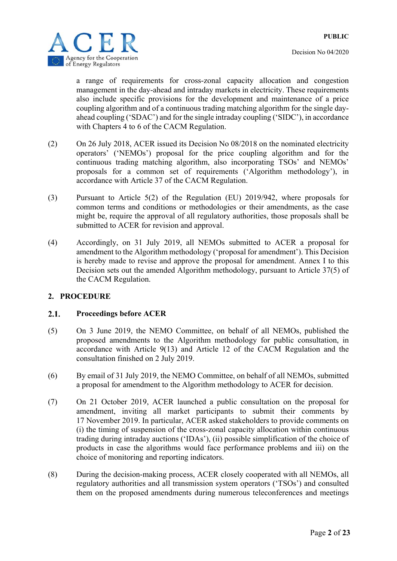

a range of requirements for cross-zonal capacity allocation and congestion management in the day-ahead and intraday markets in electricity. These requirements also include specific provisions for the development and maintenance of a price coupling algorithm and of a continuous trading matching algorithm for the single dayahead coupling ('SDAC') and for the single intraday coupling ('SIDC'), in accordance with Chapters 4 to 6 of the CACM Regulation.

- (2) On 26 July 2018, ACER issued its Decision No 08/2018 on the nominated electricity operators' ('NEMOs') proposal for the price coupling algorithm and for the continuous trading matching algorithm, also incorporating TSOs' and NEMOs' proposals for a common set of requirements ('Algorithm methodology'), in accordance with Article 37 of the CACM Regulation.
- (3) Pursuant to Article 5(2) of the Regulation (EU) 2019/942, where proposals for common terms and conditions or methodologies or their amendments, as the case might be, require the approval of all regulatory authorities, those proposals shall be submitted to ACER for revision and approval.
- (4) Accordingly, on 31 July 2019, all NEMOs submitted to ACER a proposal for amendment to the Algorithm methodology ('proposal for amendment'). This Decision is hereby made to revise and approve the proposal for amendment. Annex I to this Decision sets out the amended Algorithm methodology, pursuant to Article 37(5) of the CACM Regulation.

### **2. PROCEDURE**

#### $2.1.$ **Proceedings before ACER**

- (5) On 3 June 2019, the NEMO Committee, on behalf of all NEMOs, published the proposed amendments to the Algorithm methodology for public consultation, in accordance with Article 9(13) and Article 12 of the CACM Regulation and the consultation finished on 2 July 2019.
- (6) By email of 31 July 2019, the NEMO Committee, on behalf of all NEMOs, submitted a proposal for amendment to the Algorithm methodology to ACER for decision.
- (7) On 21 October 2019, ACER launched a public consultation on the proposal for amendment, inviting all market participants to submit their comments by 17 November 2019. In particular, ACER asked stakeholders to provide comments on (i) the timing of suspension of the cross-zonal capacity allocation within continuous trading during intraday auctions ('IDAs'), (ii) possible simplification of the choice of products in case the algorithms would face performance problems and iii) on the choice of monitoring and reporting indicators.
- (8) During the decision-making process, ACER closely cooperated with all NEMOs, all regulatory authorities and all transmission system operators ('TSOs') and consulted them on the proposed amendments during numerous teleconferences and meetings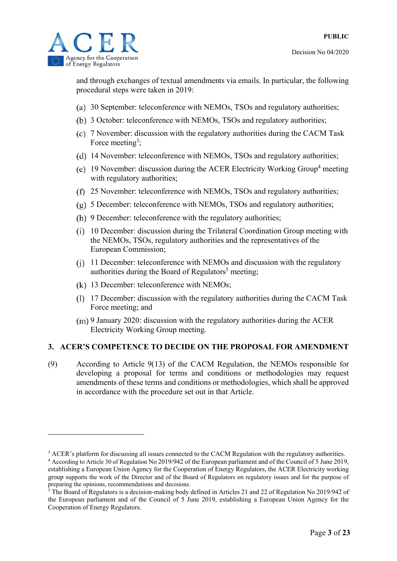

1

and through exchanges of textual amendments via emails. In particular, the following procedural steps were taken in 2019:

- 30 September: teleconference with NEMOs, TSOs and regulatory authorities;
- 3 October: teleconference with NEMOs, TSOs and regulatory authorities;
- 7 November: discussion with the regulatory authorities during the CACM Task Force meeting<sup>3</sup>;
- 14 November: teleconference with NEMOs, TSOs and regulatory authorities;
- 19 November: discussion during the ACER Electricity Working Group<sup>4</sup> meeting with regulatory authorities;
- 25 November: teleconference with NEMOs, TSOs and regulatory authorities;
- 5 December: teleconference with NEMOs, TSOs and regulatory authorities;
- (h) 9 December: teleconference with the regulatory authorities;
- 10 December: discussion during the Trilateral Coordination Group meeting with the NEMOs, TSOs, regulatory authorities and the representatives of the European Commission;
- 11 December: teleconference with NEMOs and discussion with the regulatory authorities during the Board of Regulators<sup>5</sup> meeting;
- 13 December: teleconference with NEMOs;
- 17 December: discussion with the regulatory authorities during the CACM Task Force meeting; and
- 9 January 2020: discussion with the regulatory authorities during the ACER Electricity Working Group meeting.

### **3. ACER'S COMPETENCE TO DECIDE ON THE PROPOSAL FOR AMENDMENT**

(9) According to Article 9(13) of the CACM Regulation, the NEMOs responsible for developing a proposal for terms and conditions or methodologies may request amendments of these terms and conditions or methodologies, which shall be approved in accordance with the procedure set out in that Article.

<sup>&</sup>lt;sup>3</sup> ACER's platform for discussing all issues connected to the CACM Regulation with the regulatory authorities.<br><sup>4</sup> According to Article 30 of Regulation No. 2019/942 of the European parliament and of the Council of 5 Jun

According to Article 30 of Regulation No 2019/942 of the European parliament and of the Council of 5 June 2019, establishing a European Union Agency for the Cooperation of Energy Regulators, the ACER Electricity working group supports the work of the Director and of the Board of Regulators on regulatory issues and for the purpose of preparing the opinions, recommendations and decisions.

<sup>&</sup>lt;sup>5</sup> The Board of Regulators is a decision-making body defined in Articles 21 and 22 of Regulation No 2019/942 of the European parliament and of the Council of 5 June 2019, establishing a European Union Agency for the Cooperation of Energy Regulators.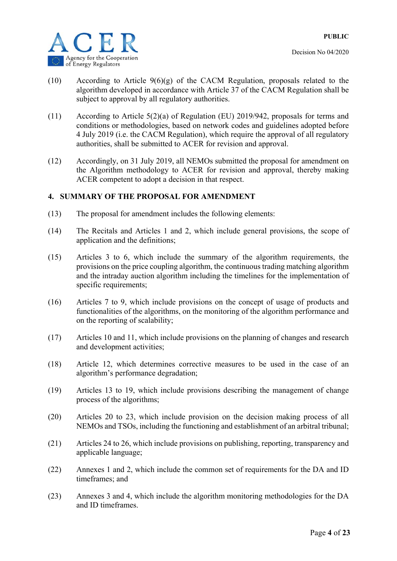

- Decision No 04/2020
- (10) According to Article 9(6)(g) of the CACM Regulation, proposals related to the algorithm developed in accordance with Article 37 of the CACM Regulation shall be subject to approval by all regulatory authorities.
- (11) According to Article 5(2)(a) of Regulation (EU) 2019/942, proposals for terms and conditions or methodologies, based on network codes and guidelines adopted before 4 July 2019 (i.e. the CACM Regulation), which require the approval of all regulatory authorities, shall be submitted to ACER for revision and approval.
- (12) Accordingly, on 31 July 2019, all NEMOs submitted the proposal for amendment on the Algorithm methodology to ACER for revision and approval, thereby making ACER competent to adopt a decision in that respect.

### **4. SUMMARY OF THE PROPOSAL FOR AMENDMENT**

- (13) The proposal for amendment includes the following elements:
- (14) The Recitals and Articles 1 and 2, which include general provisions, the scope of application and the definitions;
- (15) Articles 3 to 6, which include the summary of the algorithm requirements, the provisions on the price coupling algorithm, the continuous trading matching algorithm and the intraday auction algorithm including the timelines for the implementation of specific requirements;
- (16) Articles 7 to 9, which include provisions on the concept of usage of products and functionalities of the algorithms, on the monitoring of the algorithm performance and on the reporting of scalability;
- (17) Articles 10 and 11, which include provisions on the planning of changes and research and development activities;
- (18) Article 12, which determines corrective measures to be used in the case of an algorithm's performance degradation;
- (19) Articles 13 to 19, which include provisions describing the management of change process of the algorithms;
- (20) Articles 20 to 23, which include provision on the decision making process of all NEMOs and TSOs, including the functioning and establishment of an arbitral tribunal;
- (21) Articles 24 to 26, which include provisions on publishing, reporting, transparency and applicable language;
- (22) Annexes 1 and 2, which include the common set of requirements for the DA and ID timeframes; and
- (23) Annexes 3 and 4, which include the algorithm monitoring methodologies for the DA and ID timeframes.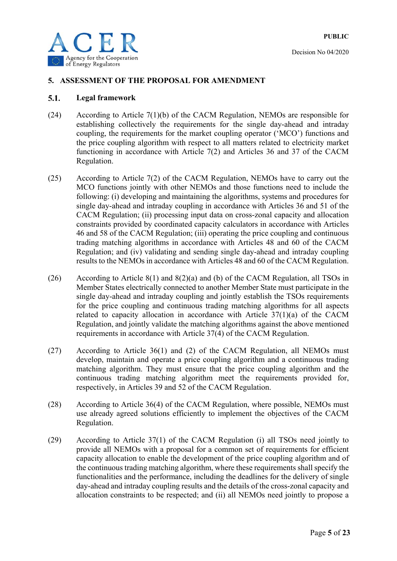

#### **5. ASSESSMENT OF THE PROPOSAL FOR AMENDMENT**

#### $5.1.$ **Legal framework**

- (24) According to Article 7(1)(b) of the CACM Regulation, NEMOs are responsible for establishing collectively the requirements for the single day-ahead and intraday coupling, the requirements for the market coupling operator ('MCO') functions and the price coupling algorithm with respect to all matters related to electricity market functioning in accordance with Article 7(2) and Articles 36 and 37 of the CACM Regulation.
- (25) According to Article 7(2) of the CACM Regulation, NEMOs have to carry out the MCO functions jointly with other NEMOs and those functions need to include the following: (i) developing and maintaining the algorithms, systems and procedures for single day-ahead and intraday coupling in accordance with Articles 36 and 51 of the CACM Regulation; (ii) processing input data on cross-zonal capacity and allocation constraints provided by coordinated capacity calculators in accordance with Articles 46 and 58 of the CACM Regulation; (iii) operating the price coupling and continuous trading matching algorithms in accordance with Articles 48 and 60 of the CACM Regulation; and (iv) validating and sending single day-ahead and intraday coupling results to the NEMOs in accordance with Articles 48 and 60 of the CACM Regulation.
- (26) According to Article 8(1) and 8(2)(a) and (b) of the CACM Regulation, all TSOs in Member States electrically connected to another Member State must participate in the single day-ahead and intraday coupling and jointly establish the TSOs requirements for the price coupling and continuous trading matching algorithms for all aspects related to capacity allocation in accordance with Article 37(1)(a) of the CACM Regulation, and jointly validate the matching algorithms against the above mentioned requirements in accordance with Article 37(4) of the CACM Regulation.
- (27) According to Article 36(1) and (2) of the CACM Regulation, all NEMOs must develop, maintain and operate a price coupling algorithm and a continuous trading matching algorithm. They must ensure that the price coupling algorithm and the continuous trading matching algorithm meet the requirements provided for, respectively, in Articles 39 and 52 of the CACM Regulation.
- (28) According to Article 36(4) of the CACM Regulation, where possible, NEMOs must use already agreed solutions efficiently to implement the objectives of the CACM Regulation.
- (29) According to Article 37(1) of the CACM Regulation (i) all TSOs need jointly to provide all NEMOs with a proposal for a common set of requirements for efficient capacity allocation to enable the development of the price coupling algorithm and of the continuous trading matching algorithm, where these requirements shall specify the functionalities and the performance, including the deadlines for the delivery of single day-ahead and intraday coupling results and the details of the cross-zonal capacity and allocation constraints to be respected; and (ii) all NEMOs need jointly to propose a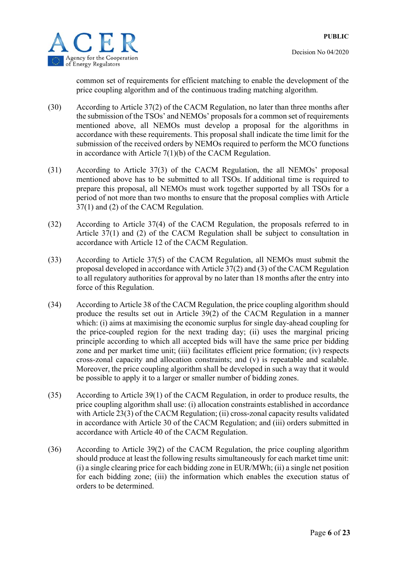

common set of requirements for efficient matching to enable the development of the price coupling algorithm and of the continuous trading matching algorithm.

- (30) According to Article 37(2) of the CACM Regulation, no later than three months after the submission of the TSOs' and NEMOs' proposals for a common set of requirements mentioned above, all NEMOs must develop a proposal for the algorithms in accordance with these requirements. This proposal shall indicate the time limit for the submission of the received orders by NEMOs required to perform the MCO functions in accordance with Article 7(1)(b) of the CACM Regulation.
- (31) According to Article 37(3) of the CACM Regulation, the all NEMOs' proposal mentioned above has to be submitted to all TSOs. If additional time is required to prepare this proposal, all NEMOs must work together supported by all TSOs for a period of not more than two months to ensure that the proposal complies with Article 37(1) and (2) of the CACM Regulation.
- (32) According to Article 37(4) of the CACM Regulation, the proposals referred to in Article 37(1) and (2) of the CACM Regulation shall be subject to consultation in accordance with Article 12 of the CACM Regulation.
- (33) According to Article 37(5) of the CACM Regulation, all NEMOs must submit the proposal developed in accordance with Article 37(2) and (3) of the CACM Regulation to all regulatory authorities for approval by no later than 18 months after the entry into force of this Regulation.
- (34) According to Article 38 of the CACM Regulation, the price coupling algorithm should produce the results set out in Article 39(2) of the CACM Regulation in a manner which: (i) aims at maximising the economic surplus for single day-ahead coupling for the price-coupled region for the next trading day; (ii) uses the marginal pricing principle according to which all accepted bids will have the same price per bidding zone and per market time unit; (iii) facilitates efficient price formation; (iv) respects cross-zonal capacity and allocation constraints; and (v) is repeatable and scalable. Moreover, the price coupling algorithm shall be developed in such a way that it would be possible to apply it to a larger or smaller number of bidding zones.
- (35) According to Article 39(1) of the CACM Regulation, in order to produce results, the price coupling algorithm shall use: (i) allocation constraints established in accordance with Article 23(3) of the CACM Regulation; (ii) cross-zonal capacity results validated in accordance with Article 30 of the CACM Regulation; and (iii) orders submitted in accordance with Article 40 of the CACM Regulation.
- (36) According to Article 39(2) of the CACM Regulation, the price coupling algorithm should produce at least the following results simultaneously for each market time unit: (i) a single clearing price for each bidding zone in EUR/MWh; (ii) a single net position for each bidding zone; (iii) the information which enables the execution status of orders to be determined.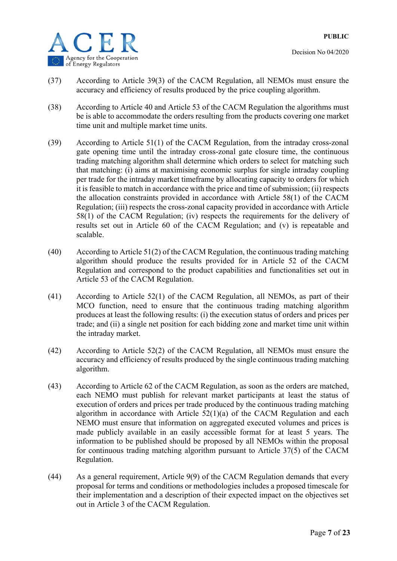

- (37) According to Article 39(3) of the CACM Regulation, all NEMOs must ensure the accuracy and efficiency of results produced by the price coupling algorithm.
- (38) According to Article 40 and Article 53 of the CACM Regulation the algorithms must be is able to accommodate the orders resulting from the products covering one market time unit and multiple market time units.
- (39) According to Article 51(1) of the CACM Regulation, from the intraday cross-zonal gate opening time until the intraday cross-zonal gate closure time, the continuous trading matching algorithm shall determine which orders to select for matching such that matching: (i) aims at maximising economic surplus for single intraday coupling per trade for the intraday market timeframe by allocating capacity to orders for which it is feasible to match in accordance with the price and time of submission; (ii) respects the allocation constraints provided in accordance with Article 58(1) of the CACM Regulation; (iii) respects the cross-zonal capacity provided in accordance with Article 58(1) of the CACM Regulation; (iv) respects the requirements for the delivery of results set out in Article 60 of the CACM Regulation; and (v) is repeatable and scalable.
- (40) According to Article 51(2) of the CACM Regulation, the continuous trading matching algorithm should produce the results provided for in Article 52 of the CACM Regulation and correspond to the product capabilities and functionalities set out in Article 53 of the CACM Regulation.
- (41) According to Article 52(1) of the CACM Regulation, all NEMOs, as part of their MCO function, need to ensure that the continuous trading matching algorithm produces at least the following results: (i) the execution status of orders and prices per trade; and (ii) a single net position for each bidding zone and market time unit within the intraday market.
- (42) According to Article 52(2) of the CACM Regulation, all NEMOs must ensure the accuracy and efficiency of results produced by the single continuous trading matching algorithm.
- (43) According to Article 62 of the CACM Regulation, as soon as the orders are matched, each NEMO must publish for relevant market participants at least the status of execution of orders and prices per trade produced by the continuous trading matching algorithm in accordance with Article 52(1)(a) of the CACM Regulation and each NEMO must ensure that information on aggregated executed volumes and prices is made publicly available in an easily accessible format for at least 5 years. The information to be published should be proposed by all NEMOs within the proposal for continuous trading matching algorithm pursuant to Article 37(5) of the CACM Regulation.
- (44) As a general requirement, Article 9(9) of the CACM Regulation demands that every proposal for terms and conditions or methodologies includes a proposed timescale for their implementation and a description of their expected impact on the objectives set out in Article 3 of the CACM Regulation.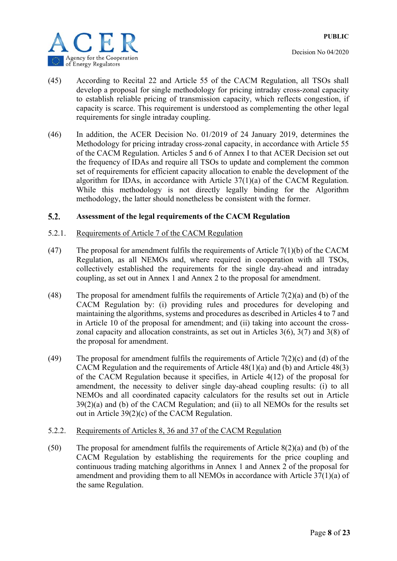

- (45) According to Recital 22 and Article 55 of the CACM Regulation, all TSOs shall develop a proposal for single methodology for pricing intraday cross-zonal capacity to establish reliable pricing of transmission capacity, which reflects congestion, if capacity is scarce. This requirement is understood as complementing the other legal requirements for single intraday coupling.
- (46) In addition, the ACER Decision No. 01/2019 of 24 January 2019, determines the Methodology for pricing intraday cross-zonal capacity, in accordance with Article 55 of the CACM Regulation. Articles 5 and 6 of Annex I to that ACER Decision set out the frequency of IDAs and require all TSOs to update and complement the common set of requirements for efficient capacity allocation to enable the development of the algorithm for IDAs, in accordance with Article 37(1)(a) of the CACM Regulation. While this methodology is not directly legally binding for the Algorithm methodology, the latter should nonetheless be consistent with the former.

#### $5.2.$ **Assessment of the legal requirements of the CACM Regulation**

#### 5.2.1. Requirements of Article 7 of the CACM Regulation

- (47) The proposal for amendment fulfils the requirements of Article  $7(1)(b)$  of the CACM Regulation, as all NEMOs and, where required in cooperation with all TSOs, collectively established the requirements for the single day-ahead and intraday coupling, as set out in Annex 1 and Annex 2 to the proposal for amendment.
- (48) The proposal for amendment fulfils the requirements of Article  $7(2)(a)$  and (b) of the CACM Regulation by: (i) providing rules and procedures for developing and maintaining the algorithms, systems and procedures as described in Articles 4 to 7 and in Article 10 of the proposal for amendment; and (ii) taking into account the crosszonal capacity and allocation constraints, as set out in Articles 3(6), 3(7) and 3(8) of the proposal for amendment.
- (49) The proposal for amendment fulfils the requirements of Article  $7(2)(c)$  and (d) of the CACM Regulation and the requirements of Article 48(1)(a) and (b) and Article 48(3) of the CACM Regulation because it specifies, in Article 4(12) of the proposal for amendment, the necessity to deliver single day-ahead coupling results: (i) to all NEMOs and all coordinated capacity calculators for the results set out in Article 39(2)(a) and (b) of the CACM Regulation; and (ii) to all NEMOs for the results set out in Article 39(2)(c) of the CACM Regulation.

#### 5.2.2. Requirements of Articles 8, 36 and 37 of the CACM Regulation

(50) The proposal for amendment fulfils the requirements of Article 8(2)(a) and (b) of the CACM Regulation by establishing the requirements for the price coupling and continuous trading matching algorithms in Annex 1 and Annex 2 of the proposal for amendment and providing them to all NEMOs in accordance with Article 37(1)(a) of the same Regulation.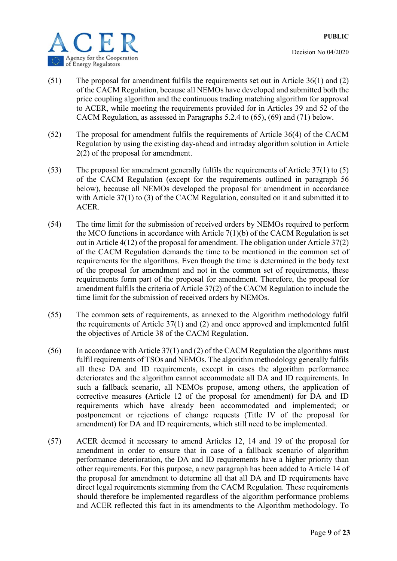

- (51) The proposal for amendment fulfils the requirements set out in Article 36(1) and (2) of the CACM Regulation, because all NEMOs have developed and submitted both the price coupling algorithm and the continuous trading matching algorithm for approval to ACER, while meeting the requirements provided for in Articles 39 and 52 of the CACM Regulation, as assessed in Paragraphs 5.2.4 to (65), (69) and (71) below.
- (52) The proposal for amendment fulfils the requirements of Article 36(4) of the CACM Regulation by using the existing day-ahead and intraday algorithm solution in Article 2(2) of the proposal for amendment.
- (53) The proposal for amendment generally fulfils the requirements of Article 37(1) to (5) of the CACM Regulation (except for the requirements outlined in paragraph 56 below), because all NEMOs developed the proposal for amendment in accordance with Article 37(1) to (3) of the CACM Regulation, consulted on it and submitted it to ACER.
- (54) The time limit for the submission of received orders by NEMOs required to perform the MCO functions in accordance with Article 7(1)(b) of the CACM Regulation is set out in Article 4(12) of the proposal for amendment. The obligation under Article 37(2) of the CACM Regulation demands the time to be mentioned in the common set of requirements for the algorithms. Even though the time is determined in the body text of the proposal for amendment and not in the common set of requirements, these requirements form part of the proposal for amendment. Therefore, the proposal for amendment fulfils the criteria of Article 37(2) of the CACM Regulation to include the time limit for the submission of received orders by NEMOs.
- (55) The common sets of requirements, as annexed to the Algorithm methodology fulfil the requirements of Article 37(1) and (2) and once approved and implemented fulfil the objectives of Article 38 of the CACM Regulation.
- (56) In accordance with Article  $37(1)$  and (2) of the CACM Regulation the algorithms must fulfil requirements of TSOs and NEMOs. The algorithm methodology generally fulfils all these DA and ID requirements, except in cases the algorithm performance deteriorates and the algorithm cannot accommodate all DA and ID requirements. In such a fallback scenario, all NEMOs propose, among others, the application of corrective measures **(**Article 12 of the proposal for amendment) for DA and ID requirements which have already been accommodated and implemented; or postponement or rejections of change requests (Title IV of the proposal for amendment) for DA and ID requirements, which still need to be implemented.
- (57) ACER deemed it necessary to amend Articles 12, 14 and 19 of the proposal for amendment in order to ensure that in case of a fallback scenario of algorithm performance deterioration, the DA and ID requirements have a higher priority than other requirements. For this purpose, a new paragraph has been added to Article 14 of the proposal for amendment to determine all that all DA and ID requirements have direct legal requirements stemming from the CACM Regulation. These requirements should therefore be implemented regardless of the algorithm performance problems and ACER reflected this fact in its amendments to the Algorithm methodology. To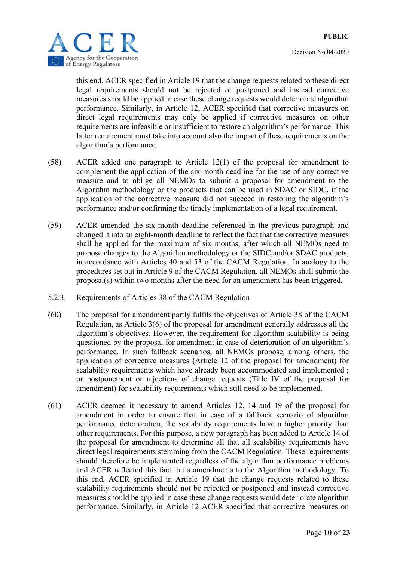

this end, ACER specified in Article 19 that the change requests related to these direct legal requirements should not be rejected or postponed and instead corrective measures should be applied in case these change requests would deteriorate algorithm performance. Similarly, in Article 12, ACER specified that corrective measures on direct legal requirements may only be applied if corrective measures on other requirements are infeasible or insufficient to restore an algorithm's performance. This latter requirement must take into account also the impact of these requirements on the algorithm's performance.

- (58) ACER added one paragraph to Article 12(1) of the proposal for amendment to complement the application of the six-month deadline for the use of any corrective measure and to oblige all NEMOs to submit a proposal for amendment to the Algorithm methodology or the products that can be used in SDAC or SIDC, if the application of the corrective measure did not succeed in restoring the algorithm's performance and/or confirming the timely implementation of a legal requirement.
- (59) ACER amended the six-month deadline referenced in the previous paragraph and changed it into an eight-month deadline to reflect the fact that the corrective measures shall be applied for the maximum of six months, after which all NEMOs need to propose changes to the Algorithm methodology or the SIDC and/or SDAC products, in accordance with Articles 40 and 53 of the CACM Regulation. In analogy to the procedures set out in Article 9 of the CACM Regulation, all NEMOs shall submit the proposal(s) within two months after the need for an amendment has been triggered.
- 5.2.3. Requirements of Articles 38 of the CACM Regulation
- (60) The proposal for amendment partly fulfils the objectives of Article 38 of the CACM Regulation, as Article 3(6) of the proposal for amendment generally addresses all the algorithm's objectives. However, the requirement for algorithm scalability is being questioned by the proposal for amendment in case of deterioration of an algorithm's performance. In such fallback scenarios, all NEMOs propose, among others, the application of corrective measures **(**Article 12 of the proposal for amendment) for scalability requirements which have already been accommodated and implemented ; or postponement or rejections of change requests (Title IV of the proposal for amendment) for scalability requirements which still need to be implemented.
- (61) ACER deemed it necessary to amend Articles 12, 14 and 19 of the proposal for amendment in order to ensure that in case of a fallback scenario of algorithm performance deterioration, the scalability requirements have a higher priority than other requirements. For this purpose, a new paragraph has been added to Article 14 of the proposal for amendment to determine all that all scalability requirements have direct legal requirements stemming from the CACM Regulation. These requirements should therefore be implemented regardless of the algorithm performance problems and ACER reflected this fact in its amendments to the Algorithm methodology. To this end, ACER specified in Article 19 that the change requests related to these scalability requirements should not be rejected or postponed and instead corrective measures should be applied in case these change requests would deteriorate algorithm performance. Similarly, in Article 12 ACER specified that corrective measures on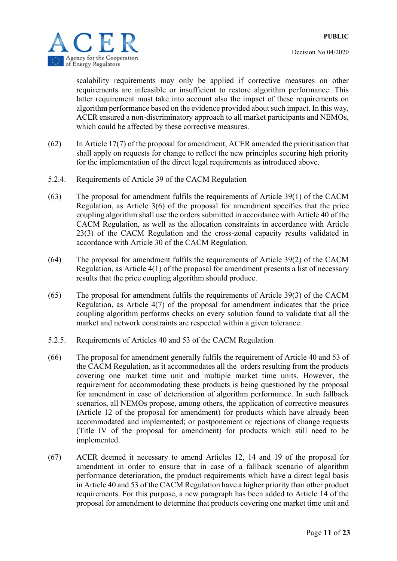



scalability requirements may only be applied if corrective measures on other requirements are infeasible or insufficient to restore algorithm performance. This latter requirement must take into account also the impact of these requirements on algorithm performance based on the evidence provided about such impact. In this way, ACER ensured a non-discriminatory approach to all market participants and NEMOs, which could be affected by these corrective measures.

- (62) In Article 17(7) of the proposal for amendment, ACER amended the prioritisation that shall apply on requests for change to reflect the new principles securing high priority for the implementation of the direct legal requirements as introduced above.
- 5.2.4. Requirements of Article 39 of the CACM Regulation
- (63) The proposal for amendment fulfils the requirements of Article 39(1) of the CACM Regulation, as Article 3(6) of the proposal for amendment specifies that the price coupling algorithm shall use the orders submitted in accordance with Article 40 of the CACM Regulation, as well as the allocation constraints in accordance with Article 23(3) of the CACM Regulation and the cross-zonal capacity results validated in accordance with Article 30 of the CACM Regulation.
- (64) The proposal for amendment fulfils the requirements of Article 39(2) of the CACM Regulation, as Article 4(1) of the proposal for amendment presents a list of necessary results that the price coupling algorithm should produce.
- (65) The proposal for amendment fulfils the requirements of Article 39(3) of the CACM Regulation, as Article 4(7) of the proposal for amendment indicates that the price coupling algorithm performs checks on every solution found to validate that all the market and network constraints are respected within a given tolerance.
- 5.2.5. Requirements of Articles 40 and 53 of the CACM Regulation
- (66) The proposal for amendment generally fulfils the requirement of Article 40 and 53 of the CACM Regulation, as it accommodates all the orders resulting from the products covering one market time unit and multiple market time units. However, the requirement for accommodating these products is being questioned by the proposal for amendment in case of deterioration of algorithm performance. In such fallback scenarios, all NEMOs propose, among others, the application of corrective measures **(**Article 12 of the proposal for amendment) for products which have already been accommodated and implemented; or postponement or rejections of change requests (Title IV of the proposal for amendment) for products which still need to be implemented.
- (67) ACER deemed it necessary to amend Articles 12, 14 and 19 of the proposal for amendment in order to ensure that in case of a fallback scenario of algorithm performance deterioration, the product requirements which have a direct legal basis in Article 40 and 53 of the CACM Regulation have a higher priority than other product requirements. For this purpose, a new paragraph has been added to Article 14 of the proposal for amendment to determine that products covering one market time unit and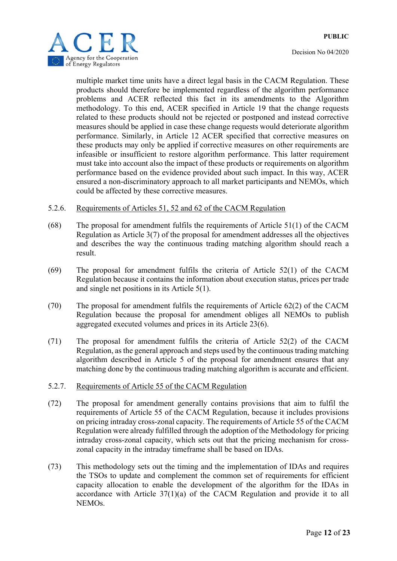



multiple market time units have a direct legal basis in the CACM Regulation. These products should therefore be implemented regardless of the algorithm performance problems and ACER reflected this fact in its amendments to the Algorithm methodology. To this end, ACER specified in Article 19 that the change requests related to these products should not be rejected or postponed and instead corrective measures should be applied in case these change requests would deteriorate algorithm performance. Similarly, in Article 12 ACER specified that corrective measures on these products may only be applied if corrective measures on other requirements are infeasible or insufficient to restore algorithm performance. This latter requirement must take into account also the impact of these products or requirements on algorithm performance based on the evidence provided about such impact. In this way, ACER ensured a non-discriminatory approach to all market participants and NEMOs, which could be affected by these corrective measures.

#### 5.2.6. Requirements of Articles 51, 52 and 62 of the CACM Regulation

- (68) The proposal for amendment fulfils the requirements of Article 51(1) of the CACM Regulation as Article 3(7) of the proposal for amendment addresses all the objectives and describes the way the continuous trading matching algorithm should reach a result.
- (69) The proposal for amendment fulfils the criteria of Article 52(1) of the CACM Regulation because it contains the information about execution status, prices per trade and single net positions in its Article 5(1).
- (70) The proposal for amendment fulfils the requirements of Article 62(2) of the CACM Regulation because the proposal for amendment obliges all NEMOs to publish aggregated executed volumes and prices in its Article 23(6).
- (71) The proposal for amendment fulfils the criteria of Article 52(2) of the CACM Regulation, as the general approach and steps used by the continuous trading matching algorithm described in Article 5 of the proposal for amendment ensures that any matching done by the continuous trading matching algorithm is accurate and efficient.

#### 5.2.7. Requirements of Article 55 of the CACM Regulation

- (72) The proposal for amendment generally contains provisions that aim to fulfil the requirements of Article 55 of the CACM Regulation, because it includes provisions on pricing intraday cross-zonal capacity. The requirements of Article 55 of the CACM Regulation were already fulfilled through the adoption of the Methodology for pricing intraday cross-zonal capacity, which sets out that the pricing mechanism for crosszonal capacity in the intraday timeframe shall be based on IDAs.
- (73) This methodology sets out the timing and the implementation of IDAs and requires the TSOs to update and complement the common set of requirements for efficient capacity allocation to enable the development of the algorithm for the IDAs in accordance with Article 37(1)(a) of the CACM Regulation and provide it to all NEMOs.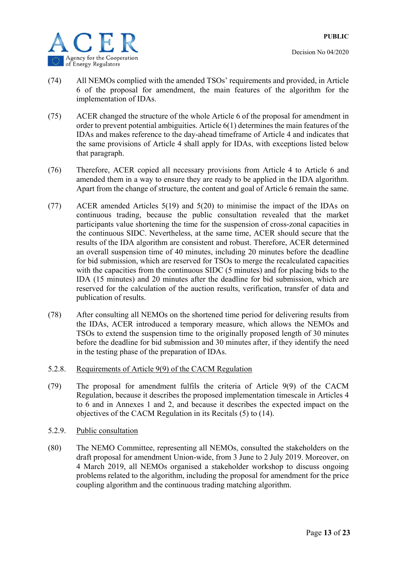

- (74) All NEMOs complied with the amended TSOs' requirements and provided, in Article 6 of the proposal for amendment, the main features of the algorithm for the implementation of IDAs.
- (75) ACER changed the structure of the whole Article 6 of the proposal for amendment in order to prevent potential ambiguities. Article 6(1) determines the main features of the IDAs and makes reference to the day-ahead timeframe of Article 4 and indicates that the same provisions of Article 4 shall apply for IDAs, with exceptions listed below that paragraph.
- (76) Therefore, ACER copied all necessary provisions from Article 4 to Article 6 and amended them in a way to ensure they are ready to be applied in the IDA algorithm. Apart from the change of structure, the content and goal of Article 6 remain the same.
- (77) ACER amended Articles 5(19) and 5(20) to minimise the impact of the IDAs on continuous trading, because the public consultation revealed that the market participants value shortening the time for the suspension of cross-zonal capacities in the continuous SIDC. Nevertheless, at the same time, ACER should secure that the results of the IDA algorithm are consistent and robust. Therefore, ACER determined an overall suspension time of 40 minutes, including 20 minutes before the deadline for bid submission, which are reserved for TSOs to merge the recalculated capacities with the capacities from the continuous SIDC (5 minutes) and for placing bids to the IDA (15 minutes) and 20 minutes after the deadline for bid submission, which are reserved for the calculation of the auction results, verification, transfer of data and publication of results.
- (78) After consulting all NEMOs on the shortened time period for delivering results from the IDAs, ACER introduced a temporary measure, which allows the NEMOs and TSOs to extend the suspension time to the originally proposed length of 30 minutes before the deadline for bid submission and 30 minutes after, if they identify the need in the testing phase of the preparation of IDAs.
- 5.2.8. Requirements of Article 9(9) of the CACM Regulation
- (79) The proposal for amendment fulfils the criteria of Article 9(9) of the CACM Regulation, because it describes the proposed implementation timescale in Articles 4 to 6 and in Annexes 1 and 2, and because it describes the expected impact on the objectives of the CACM Regulation in its Recitals (5) to (14).
- 5.2.9. Public consultation
- (80) The NEMO Committee, representing all NEMOs, consulted the stakeholders on the draft proposal for amendment Union-wide, from 3 June to 2 July 2019. Moreover, on 4 March 2019, all NEMOs organised a stakeholder workshop to discuss ongoing problems related to the algorithm, including the proposal for amendment for the price coupling algorithm and the continuous trading matching algorithm.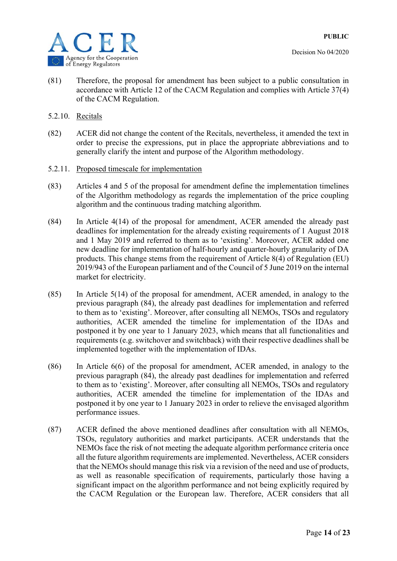



- (81) Therefore, the proposal for amendment has been subject to a public consultation in accordance with Article 12 of the CACM Regulation and complies with Article 37(4) of the CACM Regulation.
- 5.2.10. Recitals
- (82) ACER did not change the content of the Recitals, nevertheless, it amended the text in order to precise the expressions, put in place the appropriate abbreviations and to generally clarify the intent and purpose of the Algorithm methodology.
- 5.2.11. Proposed timescale for implementation
- (83) Articles 4 and 5 of the proposal for amendment define the implementation timelines of the Algorithm methodology as regards the implementation of the price coupling algorithm and the continuous trading matching algorithm.
- (84) In Article 4(14) of the proposal for amendment, ACER amended the already past deadlines for implementation for the already existing requirements of 1 August 2018 and 1 May 2019 and referred to them as to 'existing'. Moreover, ACER added one new deadline for implementation of half-hourly and quarter-hourly granularity of DA products. This change stems from the requirement of Article 8(4) of Regulation (EU) 2019/943 of the European parliament and of the Council of 5 June 2019 on the internal market for electricity.
- (85) In Article 5(14) of the proposal for amendment, ACER amended, in analogy to the previous paragraph (84), the already past deadlines for implementation and referred to them as to 'existing'. Moreover, after consulting all NEMOs, TSOs and regulatory authorities, ACER amended the timeline for implementation of the IDAs and postponed it by one year to 1 January 2023, which means that all functionalities and requirements (e.g. switchover and switchback) with their respective deadlines shall be implemented together with the implementation of IDAs.
- (86) In Article 6(6) of the proposal for amendment, ACER amended, in analogy to the previous paragraph (84), the already past deadlines for implementation and referred to them as to 'existing'. Moreover, after consulting all NEMOs, TSOs and regulatory authorities, ACER amended the timeline for implementation of the IDAs and postponed it by one year to 1 January 2023 in order to relieve the envisaged algorithm performance issues.
- (87) ACER defined the above mentioned deadlines after consultation with all NEMOs, TSOs, regulatory authorities and market participants. ACER understands that the NEMOs face the risk of not meeting the adequate algorithm performance criteria once all the future algorithm requirements are implemented. Nevertheless, ACER considers that the NEMOs should manage this risk via a revision of the need and use of products, as well as reasonable specification of requirements, particularly those having a significant impact on the algorithm performance and not being explicitly required by the CACM Regulation or the European law. Therefore, ACER considers that all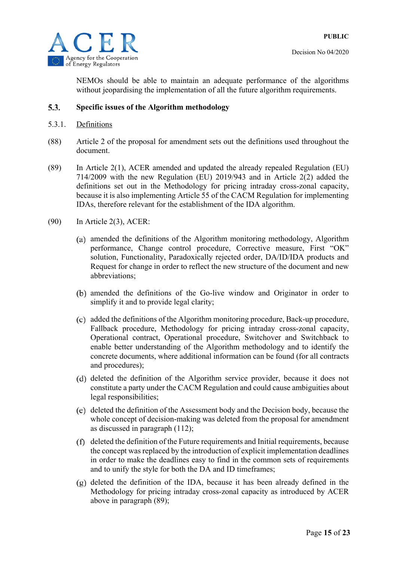

NEMOs should be able to maintain an adequate performance of the algorithms without jeopardising the implementation of all the future algorithm requirements.

#### $5.3.$ **Specific issues of the Algorithm methodology**

- 5.3.1. Definitions
- (88) Article 2 of the proposal for amendment sets out the definitions used throughout the document.
- (89) In Article 2(1), ACER amended and updated the already repealed Regulation (EU) 714/2009 with the new Regulation (EU) 2019/943 and in Article 2(2) added the definitions set out in the Methodology for pricing intraday cross-zonal capacity, because it is also implementing Article 55 of the CACM Regulation for implementing IDAs, therefore relevant for the establishment of the IDA algorithm.
- (90) In Article 2(3), ACER:
	- amended the definitions of the Algorithm monitoring methodology, Algorithm performance, Change control procedure, Corrective measure, First "OK" solution, Functionality, Paradoxically rejected order, DA/ID/IDA products and Request for change in order to reflect the new structure of the document and new abbreviations;
	- amended the definitions of the Go-live window and Originator in order to simplify it and to provide legal clarity;
	- added the definitions of the Algorithm monitoring procedure, Back-up procedure, Fallback procedure, Methodology for pricing intraday cross-zonal capacity, Operational contract, Operational procedure, Switchover and Switchback to enable better understanding of the Algorithm methodology and to identify the concrete documents, where additional information can be found (for all contracts and procedures);
	- (d) deleted the definition of the Algorithm service provider, because it does not constitute a party under the CACM Regulation and could cause ambiguities about legal responsibilities;
	- deleted the definition of the Assessment body and the Decision body, because the whole concept of decision-making was deleted from the proposal for amendment as discussed in paragraph (112);
	- deleted the definition of the Future requirements and Initial requirements, because the concept was replaced by the introduction of explicit implementation deadlines in order to make the deadlines easy to find in the common sets of requirements and to unify the style for both the DA and ID timeframes;
	- $(g)$  deleted the definition of the IDA, because it has been already defined in the Methodology for pricing intraday cross-zonal capacity as introduced by ACER above in paragraph (89);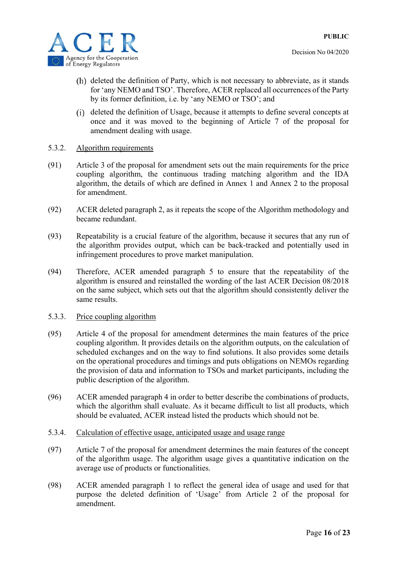

- (h) deleted the definition of Party, which is not necessary to abbreviate, as it stands for 'any NEMO and TSO'. Therefore, ACER replaced all occurrences of the Party by its former definition, i.e. by 'any NEMO or TSO'; and
- deleted the definition of Usage, because it attempts to define several concepts at once and it was moved to the beginning of Article 7 of the proposal for amendment dealing with usage.
- 5.3.2. Algorithm requirements
- (91) Article 3 of the proposal for amendment sets out the main requirements for the price coupling algorithm, the continuous trading matching algorithm and the IDA algorithm, the details of which are defined in Annex 1 and Annex 2 to the proposal for amendment.
- (92) ACER deleted paragraph 2, as it repeats the scope of the Algorithm methodology and became redundant.
- (93) Repeatability is a crucial feature of the algorithm, because it secures that any run of the algorithm provides output, which can be back-tracked and potentially used in infringement procedures to prove market manipulation.
- (94) Therefore, ACER amended paragraph 5 to ensure that the repeatability of the algorithm is ensured and reinstalled the wording of the last ACER Decision 08/2018 on the same subject, which sets out that the algorithm should consistently deliver the same results.
- 5.3.3. Price coupling algorithm
- (95) Article 4 of the proposal for amendment determines the main features of the price coupling algorithm. It provides details on the algorithm outputs, on the calculation of scheduled exchanges and on the way to find solutions. It also provides some details on the operational procedures and timings and puts obligations on NEMOs regarding the provision of data and information to TSOs and market participants, including the public description of the algorithm.
- (96) ACER amended paragraph 4 in order to better describe the combinations of products, which the algorithm shall evaluate. As it became difficult to list all products, which should be evaluated, ACER instead listed the products which should not be.
- 5.3.4. Calculation of effective usage, anticipated usage and usage range
- (97) Article 7 of the proposal for amendment determines the main features of the concept of the algorithm usage. The algorithm usage gives a quantitative indication on the average use of products or functionalities.
- (98) ACER amended paragraph 1 to reflect the general idea of usage and used for that purpose the deleted definition of 'Usage' from Article 2 of the proposal for amendment.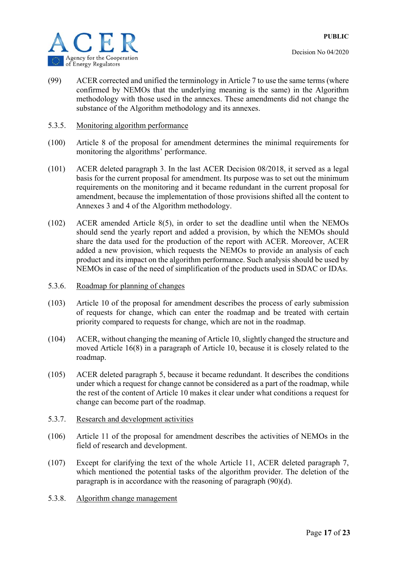- (99) ACER corrected and unified the terminology in Article 7 to use the same terms (where confirmed by NEMOs that the underlying meaning is the same) in the Algorithm methodology with those used in the annexes. These amendments did not change the substance of the Algorithm methodology and its annexes.
- 5.3.5. Monitoring algorithm performance
- (100) Article 8 of the proposal for amendment determines the minimal requirements for monitoring the algorithms' performance.
- (101) ACER deleted paragraph 3. In the last ACER Decision 08/2018, it served as a legal basis for the current proposal for amendment. Its purpose was to set out the minimum requirements on the monitoring and it became redundant in the current proposal for amendment, because the implementation of those provisions shifted all the content to Annexes 3 and 4 of the Algorithm methodology.
- (102) ACER amended Article 8(5), in order to set the deadline until when the NEMOs should send the yearly report and added a provision, by which the NEMOs should share the data used for the production of the report with ACER. Moreover, ACER added a new provision, which requests the NEMOs to provide an analysis of each product and its impact on the algorithm performance. Such analysis should be used by NEMOs in case of the need of simplification of the products used in SDAC or IDAs.
- 5.3.6. Roadmap for planning of changes
- (103) Article 10 of the proposal for amendment describes the process of early submission of requests for change, which can enter the roadmap and be treated with certain priority compared to requests for change, which are not in the roadmap.
- (104) ACER, without changing the meaning of Article 10, slightly changed the structure and moved Article 16(8) in a paragraph of Article 10, because it is closely related to the roadmap.
- (105) ACER deleted paragraph 5, because it became redundant. It describes the conditions under which a request for change cannot be considered as a part of the roadmap, while the rest of the content of Article 10 makes it clear under what conditions a request for change can become part of the roadmap.
- 5.3.7. Research and development activities
- (106) Article 11 of the proposal for amendment describes the activities of NEMOs in the field of research and development.
- (107) Except for clarifying the text of the whole Article 11, ACER deleted paragraph 7, which mentioned the potential tasks of the algorithm provider. The deletion of the paragraph is in accordance with the reasoning of paragraph (90)(d).
- 5.3.8. Algorithm change management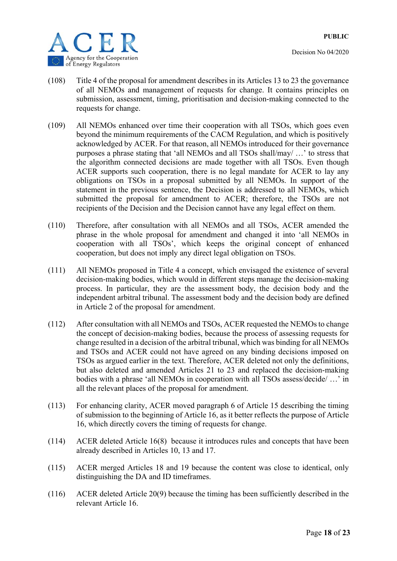

- (108) Title 4 of the proposal for amendment describes in its Articles 13 to 23 the governance of all NEMOs and management of requests for change. It contains principles on submission, assessment, timing, prioritisation and decision-making connected to the requests for change.
- (109) All NEMOs enhanced over time their cooperation with all TSOs, which goes even beyond the minimum requirements of the CACM Regulation, and which is positively acknowledged by ACER. For that reason, all NEMOs introduced for their governance purposes a phrase stating that 'all NEMOs and all TSOs shall/may/ …' to stress that the algorithm connected decisions are made together with all TSOs. Even though ACER supports such cooperation, there is no legal mandate for ACER to lay any obligations on TSOs in a proposal submitted by all NEMOs. In support of the statement in the previous sentence, the Decision is addressed to all NEMOs, which submitted the proposal for amendment to ACER; therefore, the TSOs are not recipients of the Decision and the Decision cannot have any legal effect on them.
- (110) Therefore, after consultation with all NEMOs and all TSOs, ACER amended the phrase in the whole proposal for amendment and changed it into 'all NEMOs in cooperation with all TSOs', which keeps the original concept of enhanced cooperation, but does not imply any direct legal obligation on TSOs.
- (111) All NEMOs proposed in Title 4 a concept, which envisaged the existence of several decision-making bodies, which would in different steps manage the decision-making process. In particular, they are the assessment body, the decision body and the independent arbitral tribunal. The assessment body and the decision body are defined in Article 2 of the proposal for amendment.
- (112) After consultation with all NEMOs and TSOs, ACER requested the NEMOs to change the concept of decision-making bodies, because the process of assessing requests for change resulted in a decision of the arbitral tribunal, which was binding for all NEMOs and TSOs and ACER could not have agreed on any binding decisions imposed on TSOs as argued earlier in the text. Therefore, ACER deleted not only the definitions, but also deleted and amended Articles 21 to 23 and replaced the decision-making bodies with a phrase 'all NEMOs in cooperation with all TSOs assess/decide/ …' in all the relevant places of the proposal for amendment.
- (113) For enhancing clarity, ACER moved paragraph 6 of Article 15 describing the timing of submission to the beginning of Article 16, as it better reflects the purpose of Article 16, which directly covers the timing of requests for change.
- (114) ACER deleted Article 16(8) because it introduces rules and concepts that have been already described in Articles 10, 13 and 17.
- (115) ACER merged Articles 18 and 19 because the content was close to identical, only distinguishing the DA and ID timeframes.
- (116) ACER deleted Article 20(9) because the timing has been sufficiently described in the relevant Article 16.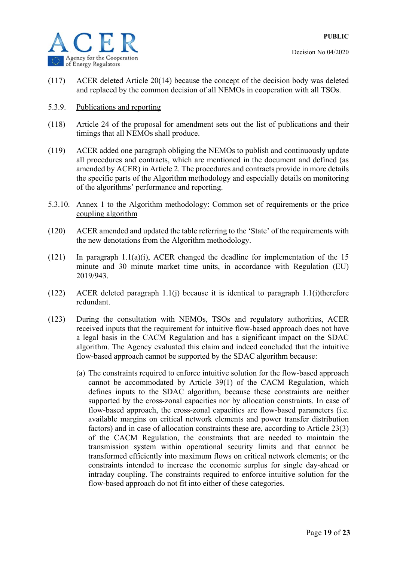

- (117) ACER deleted Article 20(14) because the concept of the decision body was deleted and replaced by the common decision of all NEMOs in cooperation with all TSOs.
- 5.3.9. Publications and reporting
- (118) Article 24 of the proposal for amendment sets out the list of publications and their timings that all NEMOs shall produce.
- (119) ACER added one paragraph obliging the NEMOs to publish and continuously update all procedures and contracts, which are mentioned in the document and defined (as amended by ACER) in Article 2. The procedures and contracts provide in more details the specific parts of the Algorithm methodology and especially details on monitoring of the algorithms' performance and reporting.
- 5.3.10. Annex 1 to the Algorithm methodology: Common set of requirements or the price coupling algorithm
- (120) ACER amended and updated the table referring to the 'State' of the requirements with the new denotations from the Algorithm methodology.
- (121) In paragraph 1.1(a)(i), ACER changed the deadline for implementation of the 15 minute and 30 minute market time units, in accordance with Regulation (EU) 2019/943.
- (122) ACER deleted paragraph 1.1(j) because it is identical to paragraph 1.1(i)therefore redundant.
- (123) During the consultation with NEMOs, TSOs and regulatory authorities, ACER received inputs that the requirement for intuitive flow-based approach does not have a legal basis in the CACM Regulation and has a significant impact on the SDAC algorithm. The Agency evaluated this claim and indeed concluded that the intuitive flow-based approach cannot be supported by the SDAC algorithm because:
	- (a) The constraints required to enforce intuitive solution for the flow-based approach cannot be accommodated by Article 39(1) of the CACM Regulation, which defines inputs to the SDAC algorithm, because these constraints are neither supported by the cross-zonal capacities nor by allocation constraints. In case of flow-based approach, the cross-zonal capacities are flow-based parameters (i.e. available margins on critical network elements and power transfer distribution factors) and in case of allocation constraints these are, according to Article 23(3) of the CACM Regulation, the constraints that are needed to maintain the transmission system within operational security limits and that cannot be transformed efficiently into maximum flows on critical network elements; or the constraints intended to increase the economic surplus for single day-ahead or intraday coupling. The constraints required to enforce intuitive solution for the flow-based approach do not fit into either of these categories.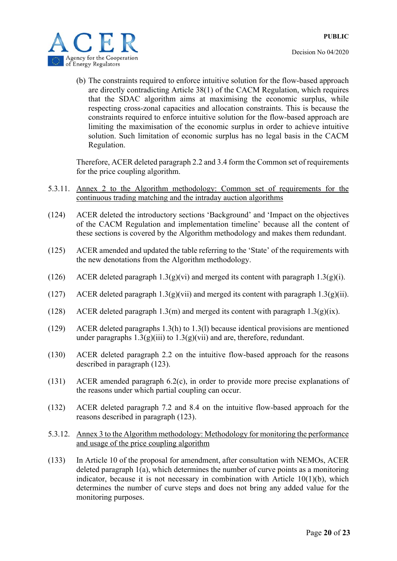

(b) The constraints required to enforce intuitive solution for the flow-based approach are directly contradicting Article 38(1) of the CACM Regulation, which requires that the SDAC algorithm aims at maximising the economic surplus, while respecting cross-zonal capacities and allocation constraints. This is because the constraints required to enforce intuitive solution for the flow-based approach are limiting the maximisation of the economic surplus in order to achieve intuitive solution. Such limitation of economic surplus has no legal basis in the CACM Regulation.

Therefore, ACER deleted paragraph 2.2 and 3.4 form the Common set of requirements for the price coupling algorithm.

- 5.3.11. Annex 2 to the Algorithm methodology: Common set of requirements for the continuous trading matching and the intraday auction algorithms
- (124) ACER deleted the introductory sections 'Background' and 'Impact on the objectives of the CACM Regulation and implementation timeline' because all the content of these sections is covered by the Algorithm methodology and makes them redundant.
- (125) ACER amended and updated the table referring to the 'State' of the requirements with the new denotations from the Algorithm methodology.
- (126) ACER deleted paragraph  $1.3(g)(vi)$  and merged its content with paragraph  $1.3(g)(i)$ .
- (127) ACER deleted paragraph  $1.3(g)(vi)$  and merged its content with paragraph  $1.3(g)(ii)$ .
- (128) ACER deleted paragraph 1.3(m) and merged its content with paragraph  $1.3(g)(ix)$ .
- (129) ACER deleted paragraphs 1.3(h) to 1.3(l) because identical provisions are mentioned under paragraphs  $1.3(g)(iii)$  to  $1.3(g)(vii)$  and are, therefore, redundant.
- (130) ACER deleted paragraph 2.2 on the intuitive flow-based approach for the reasons described in paragraph (123).
- (131) ACER amended paragraph 6.2(c), in order to provide more precise explanations of the reasons under which partial coupling can occur.
- (132) ACER deleted paragraph 7.2 and 8.4 on the intuitive flow-based approach for the reasons described in paragraph (123).
- 5.3.12. Annex 3 to the Algorithm methodology: Methodology for monitoring the performance and usage of the price coupling algorithm
- (133) In Article 10 of the proposal for amendment, after consultation with NEMOs, ACER deleted paragraph 1(a), which determines the number of curve points as a monitoring indicator, because it is not necessary in combination with Article 10(1)(b), which determines the number of curve steps and does not bring any added value for the monitoring purposes.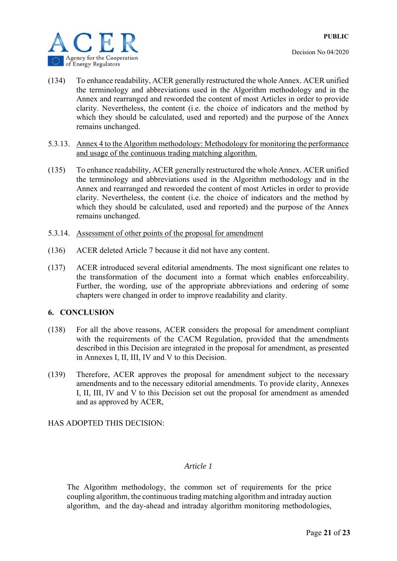



- (134) To enhance readability, ACER generally restructured the whole Annex. ACER unified the terminology and abbreviations used in the Algorithm methodology and in the Annex and rearranged and reworded the content of most Articles in order to provide clarity. Nevertheless, the content (i.e. the choice of indicators and the method by which they should be calculated, used and reported) and the purpose of the Annex remains unchanged.
- 5.3.13. Annex 4 to the Algorithm methodology: Methodology for monitoring the performance and usage of the continuous trading matching algorithm.
- (135) To enhance readability, ACER generally restructured the whole Annex. ACER unified the terminology and abbreviations used in the Algorithm methodology and in the Annex and rearranged and reworded the content of most Articles in order to provide clarity. Nevertheless, the content (i.e. the choice of indicators and the method by which they should be calculated, used and reported) and the purpose of the Annex remains unchanged.
- 5.3.14. Assessment of other points of the proposal for amendment
- (136) ACER deleted Article 7 because it did not have any content.
- (137) ACER introduced several editorial amendments. The most significant one relates to the transformation of the document into a format which enables enforceability. Further, the wording, use of the appropriate abbreviations and ordering of some chapters were changed in order to improve readability and clarity.

#### **6. CONCLUSION**

- (138) For all the above reasons, ACER considers the proposal for amendment compliant with the requirements of the CACM Regulation, provided that the amendments described in this Decision are integrated in the proposal for amendment, as presented in Annexes I, II, III, IV and V to this Decision.
- (139) Therefore, ACER approves the proposal for amendment subject to the necessary amendments and to the necessary editorial amendments. To provide clarity, Annexes I, II, III, IV and V to this Decision set out the proposal for amendment as amended and as approved by ACER,

### HAS ADOPTED THIS DECISION:

#### *Article 1*

The Algorithm methodology, the common set of requirements for the price coupling algorithm, the continuous trading matching algorithm and intraday auction algorithm, and the day-ahead and intraday algorithm monitoring methodologies,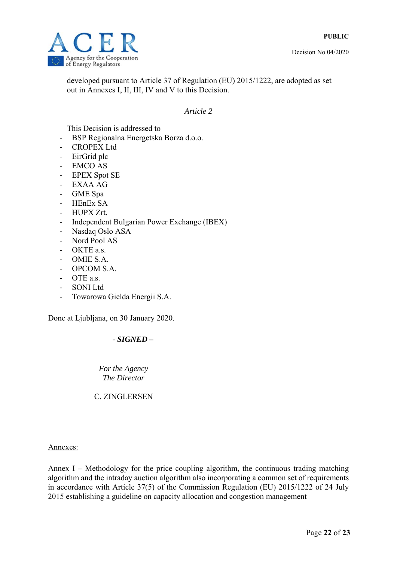

developed pursuant to Article 37 of Regulation (EU) 2015/1222, are adopted as set out in Annexes I, II, III, IV and V to this Decision.

#### *Article 2*

This Decision is addressed to

- ‐ BSP Regionalna Energetska Borza d.o.o.
- ‐ CROPEX Ltd
- ‐ EirGrid plc
- ‐ EMCO AS
- ‐ EPEX Spot SE
- ‐ EXAA AG
- ‐ GME Spa
- ‐ HEnEx SA
- ‐ HUPX Zrt.
- ‐ Independent Bulgarian Power Exchange (IBEX)
- ‐ Nasdaq Oslo ASA
- ‐ Nord Pool AS
- OKTE a.s.
- ‐ OMIE S.A.
- ‐ OPCOM S.A.
- ‐ OTE a.s.
- ‐ SONI Ltd
- ‐ Towarowa Gielda Energii S.A.

Done at Ljubljana, on 30 January 2020.

### *- SIGNED –*

*For the Agency The Director* 

C. ZINGLERSEN

#### Annexes:

Annex I – Methodology for the price coupling algorithm, the continuous trading matching algorithm and the intraday auction algorithm also incorporating a common set of requirements in accordance with Article 37(5) of the Commission Regulation (EU) 2015/1222 of 24 July 2015 establishing a guideline on capacity allocation and congestion management